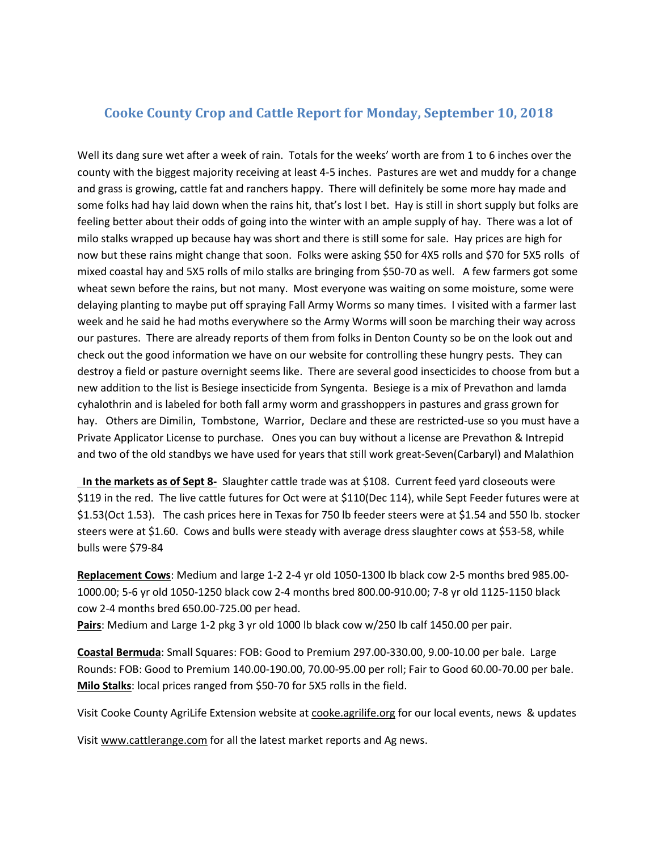## **Cooke County Crop and Cattle Report for Monday, September 10, 2018**

Well its dang sure wet after a week of rain. Totals for the weeks' worth are from 1 to 6 inches over the county with the biggest majority receiving at least 4-5 inches. Pastures are wet and muddy for a change and grass is growing, cattle fat and ranchers happy. There will definitely be some more hay made and some folks had hay laid down when the rains hit, that's lost I bet. Hay is still in short supply but folks are feeling better about their odds of going into the winter with an ample supply of hay. There was a lot of milo stalks wrapped up because hay was short and there is still some for sale. Hay prices are high for now but these rains might change that soon. Folks were asking \$50 for 4X5 rolls and \$70 for 5X5 rolls of mixed coastal hay and 5X5 rolls of milo stalks are bringing from \$50-70 as well. A few farmers got some wheat sewn before the rains, but not many. Most everyone was waiting on some moisture, some were delaying planting to maybe put off spraying Fall Army Worms so many times. I visited with a farmer last week and he said he had moths everywhere so the Army Worms will soon be marching their way across our pastures. There are already reports of them from folks in Denton County so be on the look out and check out the good information we have on our website for controlling these hungry pests. They can destroy a field or pasture overnight seems like. There are several good insecticides to choose from but a new addition to the list is Besiege insecticide from Syngenta. Besiege is a mix of Prevathon and lamda cyhalothrin and is labeled for both fall army worm and grasshoppers in pastures and grass grown for hay. Others are Dimilin, Tombstone, Warrior, Declare and these are restricted-use so you must have a Private Applicator License to purchase. Ones you can buy without a license are Prevathon & Intrepid and two of the old standbys we have used for years that still work great-Seven(Carbaryl) and Malathion

**In the markets as of Sept 8-** Slaughter cattle trade was at \$108. Current feed yard closeouts were \$119 in the red. The live cattle futures for Oct were at \$110(Dec 114), while Sept Feeder futures were at \$1.53(Oct 1.53). The cash prices here in Texas for 750 lb feeder steers were at \$1.54 and 550 lb. stocker steers were at \$1.60. Cows and bulls were steady with average dress slaughter cows at \$53-58, while bulls were \$79-84

**Replacement Cows**: Medium and large 1-2 2-4 yr old 1050-1300 lb black cow 2-5 months bred 985.00- 1000.00; 5-6 yr old 1050-1250 black cow 2-4 months bred 800.00-910.00; 7-8 yr old 1125-1150 black cow 2-4 months bred 650.00-725.00 per head.

**Pairs**: Medium and Large 1-2 pkg 3 yr old 1000 lb black cow w/250 lb calf 1450.00 per pair.

**Coastal Bermuda**: Small Squares: FOB: Good to Premium 297.00-330.00, 9.00-10.00 per bale. Large Rounds: FOB: Good to Premium 140.00-190.00, 70.00-95.00 per roll; Fair to Good 60.00-70.00 per bale. **Milo Stalks**: local prices ranged from \$50-70 for 5X5 rolls in the field.

Visit Cooke County AgriLife Extension website at cooke.agrilife.org for our local events, news & updates

Visit www.cattlerange.com for all the latest market reports and Ag news.